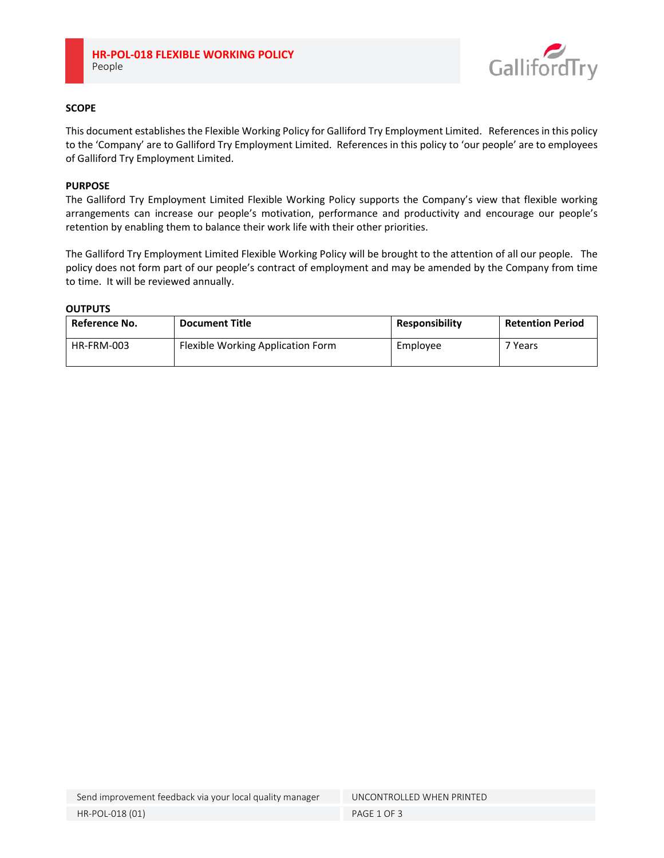

# **SCOPE**

This document establishes the Flexible Working Policy for Galliford Try Employment Limited. References in this policy to the 'Company' are to Galliford Try Employment Limited. References in this policy to 'our people' are to employees of Galliford Try Employment Limited.

# **PURPOSE**

The Galliford Try Employment Limited Flexible Working Policy supports the Company's view that flexible working arrangements can increase our people's motivation, performance and productivity and encourage our people's retention by enabling them to balance their work life with their other priorities.

The Galliford Try Employment Limited Flexible Working Policy will be brought to the attention of all our people. The policy does not form part of our people's contract of employment and may be amended by the Company from time to time. It will be reviewed annually.

**OUTPUTS**

| Reference No. | <b>Document Title</b>             | <b>Responsibility</b> | <b>Retention Period</b> |
|---------------|-----------------------------------|-----------------------|-------------------------|
| HR-FRM-003    | Flexible Working Application Form | Employee              | 7 Years                 |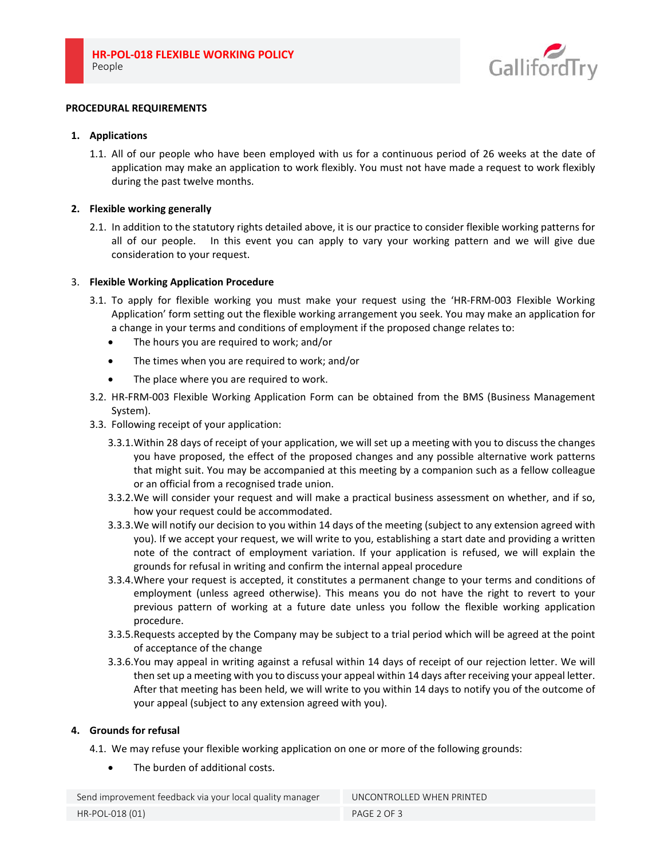

### **PROCEDURAL REQUIREMENTS**

### **1. Applications**

1.1. All of our people who have been employed with us for a continuous period of 26 weeks at the date of application may make an application to work flexibly. You must not have made a request to work flexibly during the past twelve months.

### **2. Flexible working generally**

2.1. In addition to the statutory rights detailed above, it is our practice to consider flexible working patterns for all of our people. In this event you can apply to vary your working pattern and we will give due consideration to your request.

### 3. **Flexible Working Application Procedure**

- 3.1. To apply for flexible working you must make your request using the 'HR‐FRM‐003 Flexible Working Application' form setting out the flexible working arrangement you seek. You may make an application for a change in your terms and conditions of employment if the proposed change relates to:
	- The hours you are required to work; and/or
	- The times when you are required to work; and/or
	- The place where you are required to work.
- 3.2. HR‐FRM‐003 Flexible Working Application Form can be obtained from the BMS (Business Management System).
- 3.3. Following receipt of your application:
	- 3.3.1.Within 28 days of receipt of your application, we will set up a meeting with you to discuss the changes you have proposed, the effect of the proposed changes and any possible alternative work patterns that might suit. You may be accompanied at this meeting by a companion such as a fellow colleague or an official from a recognised trade union.
	- 3.3.2.We will consider your request and will make a practical business assessment on whether, and if so, how your request could be accommodated.
	- 3.3.3.We will notify our decision to you within 14 days of the meeting (subject to any extension agreed with you). If we accept your request, we will write to you, establishing a start date and providing a written note of the contract of employment variation. If your application is refused, we will explain the grounds for refusal in writing and confirm the internal appeal procedure
	- 3.3.4.Where your request is accepted, it constitutes a permanent change to your terms and conditions of employment (unless agreed otherwise). This means you do not have the right to revert to your previous pattern of working at a future date unless you follow the flexible working application procedure.
	- 3.3.5.Requests accepted by the Company may be subject to a trial period which will be agreed at the point of acceptance of the change
	- 3.3.6.You may appeal in writing against a refusal within 14 days of receipt of our rejection letter. We will then set up a meeting with you to discuss your appeal within 14 days after receiving your appeal letter. After that meeting has been held, we will write to you within 14 days to notify you of the outcome of your appeal (subject to any extension agreed with you).

## **4. Grounds for refusal**

- 4.1. We may refuse your flexible working application on one or more of the following grounds:
	- The burden of additional costs.

Send improvement feedback via your local quality manager UNCONTROLLED WHEN PRINTED